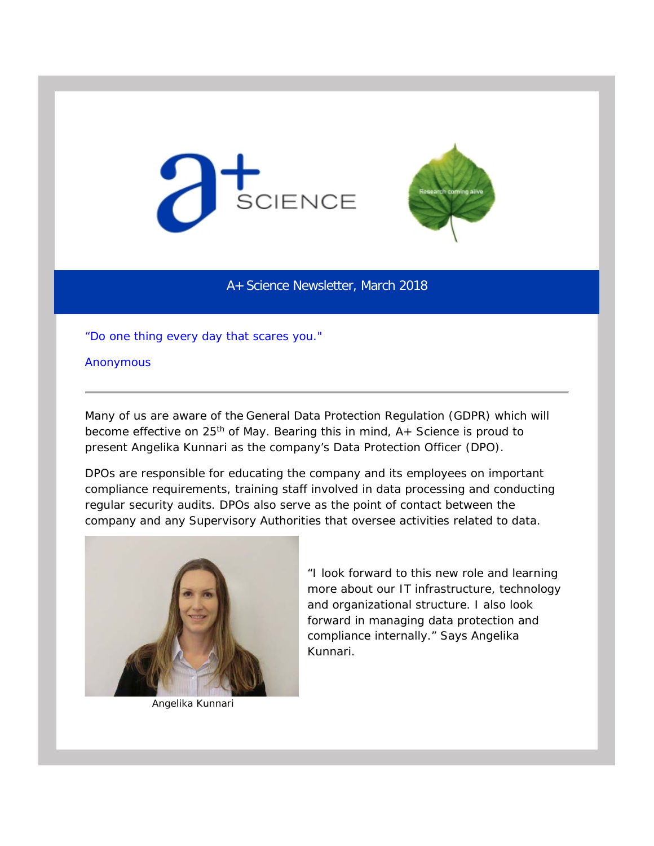



A+ Science Newsletter, March 2018

*"Do one thing every day that scares you."* 

Anonymous

Many of us are aware of the General Data Protection Regulation (GDPR) which will become effective on  $25<sup>th</sup>$  of May. Bearing this in mind,  $A+$  Science is proud to present Angelika Kunnari as the company's Data Protection Officer (DPO).

DPOs are responsible for educating the company and its employees on important compliance requirements, training staff involved in data processing and conducting regular security audits. DPOs also serve as the point of contact between the company and any Supervisory Authorities that oversee activities related to data.



Angelika Kunnari

*"I look forward to this new role and learning more about our IT infrastructure, technology and organizational structure. I also look forward in managing data protection and compliance internally."* Says Angelika Kunnari.